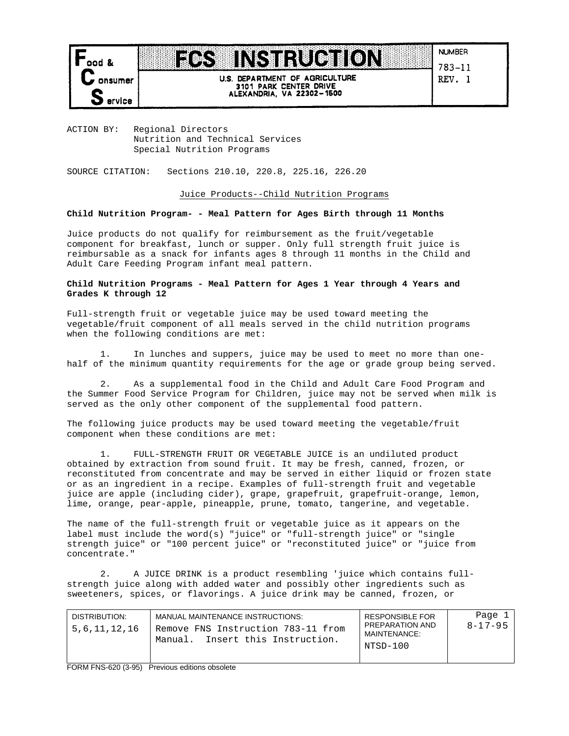

U.S. DEPARTMENT OF AGRICULTURE 3101 PARK CENTER DRIVE<br>ALEXANDRIA, VA 22302-1500

**INSTRUCTION** 

**NUMBER** 783-11 REV. 1

ACTION BY: Regional Directors Nutrition and Technical Services Special Nutrition Programs

**ROCK** 

SOURCE CITATION: Sections 210.10, 220.8, 225.16, 226.20

## Juice Products--Child Nutrition Programs

## **Child Nutrition Program- - Meal Pattern for Ages Birth through 11 Months**

Juice products do not qualify for reimbursement as the fruit/vegetable component for breakfast, lunch or supper. Only full strength fruit juice is reimbursable as a snack for infants ages 8 through 11 months in the Child and Adult Care Feeding Program infant meal pattern.

## **Child Nutrition Programs - Meal Pattern for Ages 1 Year through 4 Years and Grades K through 12**

Full-strength fruit or vegetable juice may be used toward meeting the vegetable/fruit component of all meals served in the child nutrition programs when the following conditions are met:

1. In lunches and suppers, juice may be used to meet no more than onehalf of the minimum quantity requirements for the age or grade group being served.

2. As a supplemental food in the Child and Adult Care Food Program and the Summer Food Service Program for Children, juice may not be served when milk is served as the only other component of the supplemental food pattern.

The following juice products may be used toward meeting the vegetable/fruit component when these conditions are met:

1. FULL-STRENGTH FRUIT OR VEGETABLE JUICE is an undiluted product obtained by extraction from sound fruit. It may be fresh, canned, frozen, or reconstituted from concentrate and may be served in either liquid or frozen state or as an ingredient in a recipe. Examples of full-strength fruit and vegetable juice are apple (including cider), grape, grapefruit, grapefruit-orange, lemon, lime, orange, pear-apple, pineapple, prune, tomato, tangerine, and vegetable.

The name of the full-strength fruit or vegetable juice as it appears on the label must include the word(s) "juice" or "full-strength juice" or "single strength juice" or "100 percent juice" or "reconstituted juice" or "juice from concentrate."

2. A JUICE DRINK is a product resembling 'juice which contains fullstrength juice along with added water and possibly other ingredients such as sweeteners, spices, or flavorings. A juice drink may be canned, frozen, or

| DISTRIBUTION:<br>5,6,11,12,16 | MANUAL MAINTENANCE INSTRUCTIONS:<br>Remove FNS Instruction 783-11 from<br>Insert this Instruction.<br>Manual. | <b>RESPONSIBLE FOR</b><br>PREPARATION AND<br>MAINTENANCE:<br>NTSD-100 | Page 1<br>8-17-95 |
|-------------------------------|---------------------------------------------------------------------------------------------------------------|-----------------------------------------------------------------------|-------------------|
|                               |                                                                                                               |                                                                       |                   |

FORM FNS-620 (3-95) Previous editions obsolete